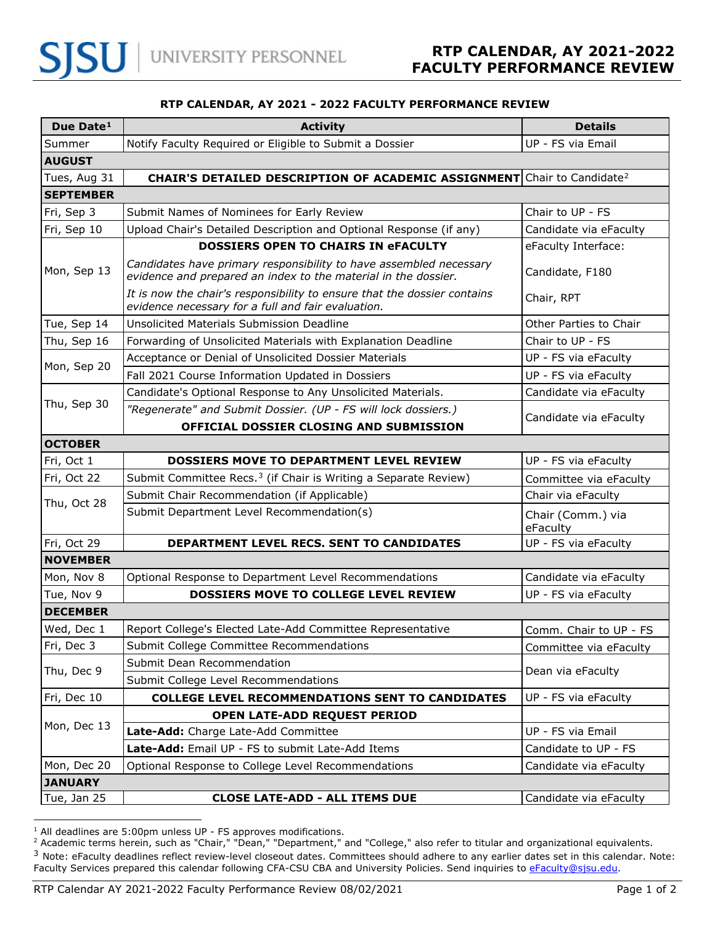## **RTP CALENDAR, AY 2021 - 2022 FACULTY PERFORMANCE REVIEW**

| Due Date <sup>1</sup> | <b>Activity</b>                                                                                                                      | <b>Details</b>                |
|-----------------------|--------------------------------------------------------------------------------------------------------------------------------------|-------------------------------|
| Summer                | Notify Faculty Required or Eligible to Submit a Dossier                                                                              | UP - FS via Email             |
| <b>AUGUST</b>         |                                                                                                                                      |                               |
| Tues, Aug 31          | <b>CHAIR'S DETAILED DESCRIPTION OF ACADEMIC ASSIGNMENT</b> Chair to Candidate <sup>2</sup>                                           |                               |
| <b>SEPTEMBER</b>      |                                                                                                                                      |                               |
| Fri, Sep 3            | Submit Names of Nominees for Early Review                                                                                            | Chair to UP - FS              |
| Fri, Sep 10           | Upload Chair's Detailed Description and Optional Response (if any)                                                                   | Candidate via eFaculty        |
| Mon, Sep 13           | <b>DOSSIERS OPEN TO CHAIRS IN eFACULTY</b>                                                                                           | eFaculty Interface:           |
|                       | Candidates have primary responsibility to have assembled necessary<br>evidence and prepared an index to the material in the dossier. | Candidate, F180               |
|                       | It is now the chair's responsibility to ensure that the dossier contains<br>evidence necessary for a full and fair evaluation.       | Chair, RPT                    |
| Tue, Sep 14           | Unsolicited Materials Submission Deadline                                                                                            | Other Parties to Chair        |
| Thu, Sep 16           | Forwarding of Unsolicited Materials with Explanation Deadline                                                                        | Chair to UP - FS              |
| Mon, Sep 20           | Acceptance or Denial of Unsolicited Dossier Materials                                                                                | UP - FS via eFaculty          |
|                       | Fall 2021 Course Information Updated in Dossiers                                                                                     | UP - FS via eFaculty          |
| Thu, Sep 30           | Candidate's Optional Response to Any Unsolicited Materials.                                                                          | Candidate via eFaculty        |
|                       | "Regenerate" and Submit Dossier. (UP - FS will lock dossiers.)                                                                       | Candidate via eFaculty        |
|                       | OFFICIAL DOSSIER CLOSING AND SUBMISSION                                                                                              |                               |
| <b>OCTOBER</b>        |                                                                                                                                      |                               |
| Fri, Oct 1            | <b>DOSSIERS MOVE TO DEPARTMENT LEVEL REVIEW</b>                                                                                      | UP - FS via eFaculty          |
| Fri, Oct 22           | Submit Committee Recs. <sup>3</sup> (if Chair is Writing a Separate Review)                                                          | Committee via eFaculty        |
| Thu, Oct 28           | Submit Chair Recommendation (if Applicable)                                                                                          | Chair via eFaculty            |
|                       | Submit Department Level Recommendation(s)                                                                                            | Chair (Comm.) via<br>eFaculty |
| Fri, Oct 29           | DEPARTMENT LEVEL RECS. SENT TO CANDIDATES                                                                                            | UP - FS via eFaculty          |
| <b>NOVEMBER</b>       |                                                                                                                                      |                               |
| Mon, Nov 8            | Optional Response to Department Level Recommendations                                                                                | Candidate via eFaculty        |
| Tue, Nov 9            | <b>DOSSIERS MOVE TO COLLEGE LEVEL REVIEW</b>                                                                                         | UP - FS via eFaculty          |
| <b>DECEMBER</b>       |                                                                                                                                      |                               |
| Wed, Dec 1            | Report College's Elected Late-Add Committee Representative                                                                           | Comm. Chair to UP - FS        |
| Fri, Dec 3            | Submit College Committee Recommendations                                                                                             | Committee via eFaculty        |
| Thu, Dec 9            | Submit Dean Recommendation                                                                                                           | Dean via eFaculty             |
|                       | Submit College Level Recommendations                                                                                                 |                               |
| Fri, Dec 10           | <b>COLLEGE LEVEL RECOMMENDATIONS SENT TO CANDIDATES</b>                                                                              | UP - FS via eFaculty          |
| Mon, Dec 13           | OPEN LATE-ADD REQUEST PERIOD                                                                                                         |                               |
|                       | Late-Add: Charge Late-Add Committee                                                                                                  | UP - FS via Email             |
|                       | Late-Add: Email UP - FS to submit Late-Add Items                                                                                     | Candidate to UP - FS          |
| Mon, Dec 20           | Optional Response to College Level Recommendations                                                                                   | Candidate via eFaculty        |
| <b>JANUARY</b>        |                                                                                                                                      |                               |
| Tue, Jan 25           | <b>CLOSE LATE-ADD - ALL ITEMS DUE</b>                                                                                                | Candidate via eFaculty        |

<span id="page-0-0"></span><sup>&</sup>lt;sup>1</sup> All deadlines are 5:00pm unless UP - FS approves modifications.

<span id="page-0-1"></span><sup>&</sup>lt;sup>2</sup> Academic terms herein, such as "Chair," "Dean," "Department," and "College," also refer to titular and organizational equivalents.

<span id="page-0-2"></span> $3$  Note: eFaculty deadlines reflect review-level closeout dates. Committees should adhere to any earlier dates set in this calendar. Note: Faculty Services prepared this calendar following CFA-CSU CBA and University Policies. Send inquiries to [eFaculty@sjsu.edu.](mailto:eFaculty@sjsu.edu)